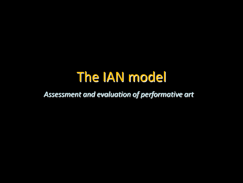## The IAN model

*Assessment and evaluation of performative art*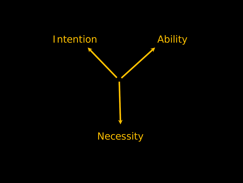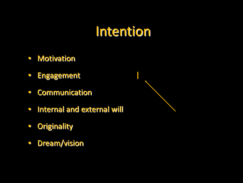### Intention

I

- Motivation
- Engagement
- Communication
- Internal and external will
- Originality
- Dream/vision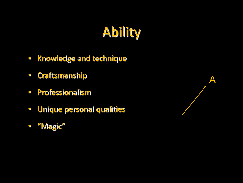# Ability

- Knowledge and technique
- Craftsmanship
- Professionalism
- Unique personal qualities
- "Magic"

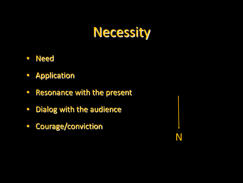## Necessity

- Need
- Application
- Resonance with the present
- Dialog with the audience
- Courage/conviction

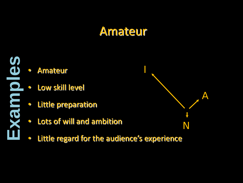#### Amateur



- Amateur
- Low skill level
- Little preparation
- Lots of will and ambition
- Little regard for the audience's experience

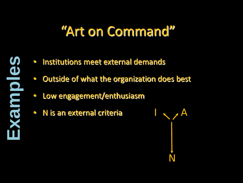## "Art on Command"



- Institutions meet external demands
- Outside of what the organization does best
- Low engagement/enthusiasm
- N is an external criteria

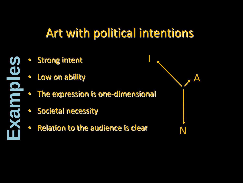### Art with political intentions

**Strong intent** 

**Examples**

- Low on ability
- The expression is one-dimensional
- Societal necessity
- Relation to the audience is clear

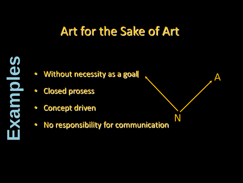### Art for the Sake of Art

A

N



- Closed prosess
- Concept driven
- No responsibility for communication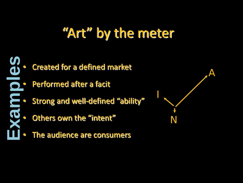## "Art" by the meter



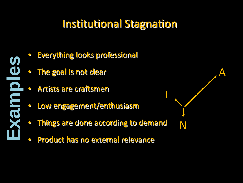#### Institutional Stagnation

A

N

- **Examples**
- **Everything looks professional**
- The goal is not clear
- Artists are craftsmen
- Low engagement/enthusiasm
- Things are done according to demand • Low engagement/enthusiasm<br>• Things are done according to demand<br>• Product has no external relevance
-